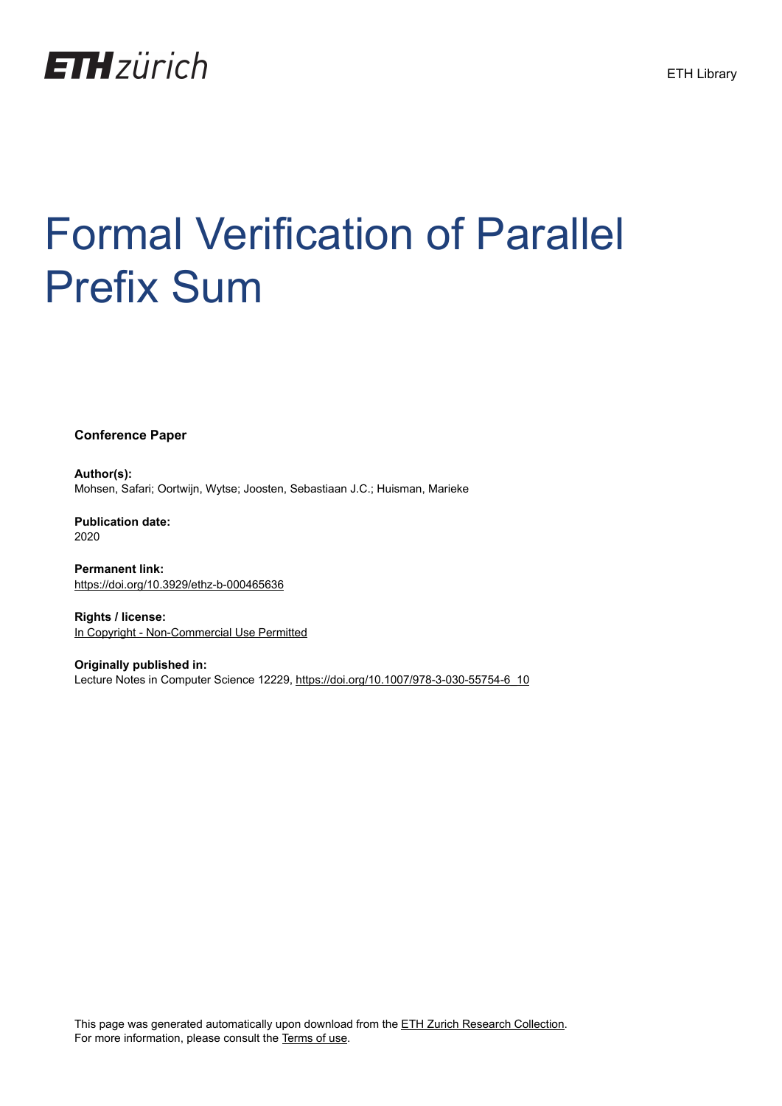

# Formal Verification of Parallel Prefix Sum

**Conference Paper**

**Author(s):** Mohsen, Safari; Oortwijn, Wytse; Joosten, Sebastiaan J.C.; Huisman, Marieke

**Publication date:** 2020

**Permanent link:** <https://doi.org/10.3929/ethz-b-000465636>

**Rights / license:** [In Copyright - Non-Commercial Use Permitted](http://rightsstatements.org/page/InC-NC/1.0/)

**Originally published in:** Lecture Notes in Computer Science 12229, [https://doi.org/10.1007/978-3-030-55754-6\\_10](https://doi.org/10.1007/978-3-030-55754-6_10)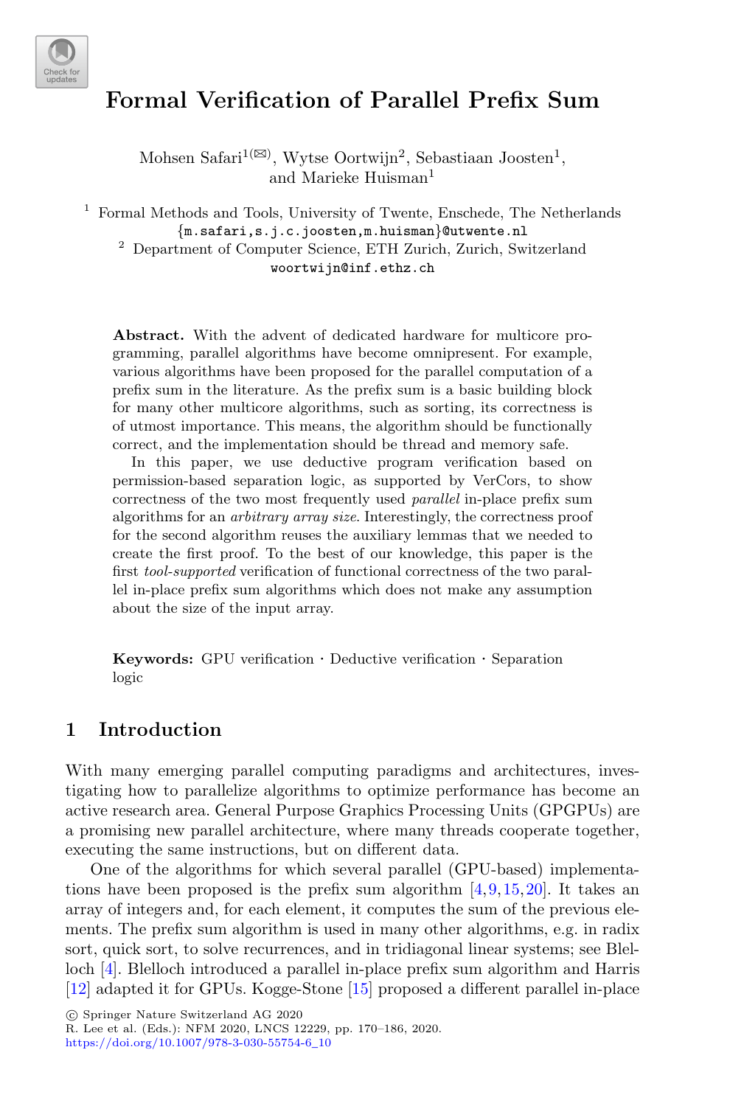

# **Formal Verification of Parallel Prefix Sum**

Mohsen Safari<br/>1( $\boxtimes$ ), Wytse Oortwijn<sup>2</sup>, Sebastiaan Joosten<sup>1</sup>, and Marieke Huisman<sup>1</sup>

<sup>1</sup> Formal Methods and Tools, University of Twente, Enschede, The Netherlands {m.safari,s.j.c.joosten,m.huisman}@utwente.nl <sup>2</sup> Department of Computer Science, ETH Zurich, Zurich, Switzerland woortwijn@inf.ethz.ch

**Abstract.** With the advent of dedicated hardware for multicore programming, parallel algorithms have become omnipresent. For example, various algorithms have been proposed for the parallel computation of a prefix sum in the literature. As the prefix sum is a basic building block for many other multicore algorithms, such as sorting, its correctness is of utmost importance. This means, the algorithm should be functionally correct, and the implementation should be thread and memory safe.

In this paper, we use deductive program verification based on permission-based separation logic, as supported by VerCors, to show correctness of the two most frequently used parallel in-place prefix sum algorithms for an arbitrary array size. Interestingly, the correctness proof for the second algorithm reuses the auxiliary lemmas that we needed to create the first proof. To the best of our knowledge, this paper is the first tool-supported verification of functional correctness of the two parallel in-place prefix sum algorithms which does not make any assumption about the size of the input array.

**Keywords:** GPU verification · Deductive verification · Separation logic

#### **1 Introduction**

With many emerging parallel computing paradigms and architectures, investigating how to parallelize algorithms to optimize performance has become an active research area. General Purpose Graphics Processing Units (GPGPUs) are a promising new parallel architecture, where many threads cooperate together, executing the same instructions, but on different data.

One of the algorithms for which several parallel (GPU-based) implementations have been proposed is the prefix sum algorithm [\[4,](#page-17-0)[9](#page-17-1)[,15](#page-17-2),[20\]](#page-17-3). It takes an array of integers and, for each element, it computes the sum of the previous elements. The prefix sum algorithm is used in many other algorithms, e.g. in radix sort, quick sort, to solve recurrences, and in tridiagonal linear systems; see Blelloch [\[4](#page-17-0)]. Blelloch introduced a parallel in-place prefix sum algorithm and Harris [\[12](#page-17-4)] adapted it for GPUs. Kogge-Stone [\[15](#page-17-2)] proposed a different parallel in-place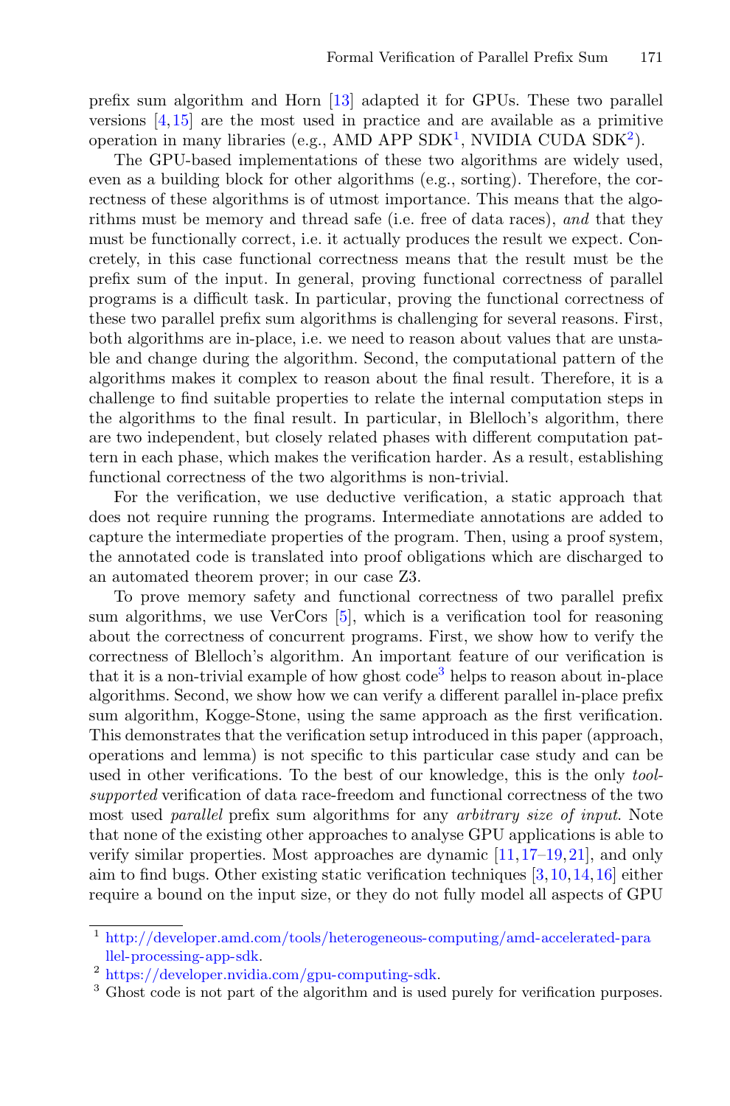prefix sum algorithm and Horn [\[13\]](#page-17-5) adapted it for GPUs. These two parallel versions [\[4](#page-17-0),[15\]](#page-17-2) are the most used in practice and are available as a primitive operation in many libraries (e.g., AMD APP  $SDK<sup>1</sup>$  $SDK<sup>1</sup>$  $SDK<sup>1</sup>$ , NVIDIA CUDA  $SDK<sup>2</sup>$  $SDK<sup>2</sup>$  $SDK<sup>2</sup>$ ).

The GPU-based implementations of these two algorithms are widely used, even as a building block for other algorithms (e.g., sorting). Therefore, the correctness of these algorithms is of utmost importance. This means that the algorithms must be memory and thread safe (i.e. free of data races), *and* that they must be functionally correct, i.e. it actually produces the result we expect. Concretely, in this case functional correctness means that the result must be the prefix sum of the input. In general, proving functional correctness of parallel programs is a difficult task. In particular, proving the functional correctness of these two parallel prefix sum algorithms is challenging for several reasons. First, both algorithms are in-place, i.e. we need to reason about values that are unstable and change during the algorithm. Second, the computational pattern of the algorithms makes it complex to reason about the final result. Therefore, it is a challenge to find suitable properties to relate the internal computation steps in the algorithms to the final result. In particular, in Blelloch's algorithm, there are two independent, but closely related phases with different computation pattern in each phase, which makes the verification harder. As a result, establishing functional correctness of the two algorithms is non-trivial.

For the verification, we use deductive verification, a static approach that does not require running the programs. Intermediate annotations are added to capture the intermediate properties of the program. Then, using a proof system, the annotated code is translated into proof obligations which are discharged to an automated theorem prover; in our case Z3.

To prove memory safety and functional correctness of two parallel prefix sum algorithms, we use VerCors [\[5](#page-17-6)], which is a verification tool for reasoning about the correctness of concurrent programs. First, we show how to verify the correctness of Blelloch's algorithm. An important feature of our verification is that it is a non-trivial example of how ghost  $\text{code}^3$  $\text{code}^3$  helps to reason about in-place algorithms. Second, we show how we can verify a different parallel in-place prefix sum algorithm, Kogge-Stone, using the same approach as the first verification. This demonstrates that the verification setup introduced in this paper (approach, operations and lemma) is not specific to this particular case study and can be used in other verifications. To the best of our knowledge, this is the only *toolsupported* verification of data race-freedom and functional correctness of the two most used *parallel* prefix sum algorithms for any *arbitrary size of input*. Note that none of the existing other approaches to analyse GPU applications is able to verify similar properties. Most approaches are dynamic [\[11](#page-17-7),[17](#page-17-8)[–19,](#page-17-9)[21](#page-17-10)], and only aim to find bugs. Other existing static verification techniques [\[3](#page-17-11)[,10](#page-17-12)[,14](#page-17-13),[16\]](#page-17-14) either require a bound on the input size, or they do not fully model all aspects of GPU

<span id="page-2-0"></span> $\overline{1 \; \text{http://development.com/tools/heterogeneous-computing/amd-accelerated-para}$ [llel-processing-app-sdk.](http://developer.amd.com/tools/heterogeneous-computing/amd-accelerated-parallel-processing-app-sdk)

<span id="page-2-1"></span><sup>2</sup> [https://developer.nvidia.com/gpu-computing-sdk.](https://developer.nvidia.com/gpu-computing-sdk)

<span id="page-2-2"></span><sup>&</sup>lt;sup>3</sup> Ghost code is not part of the algorithm and is used purely for verification purposes.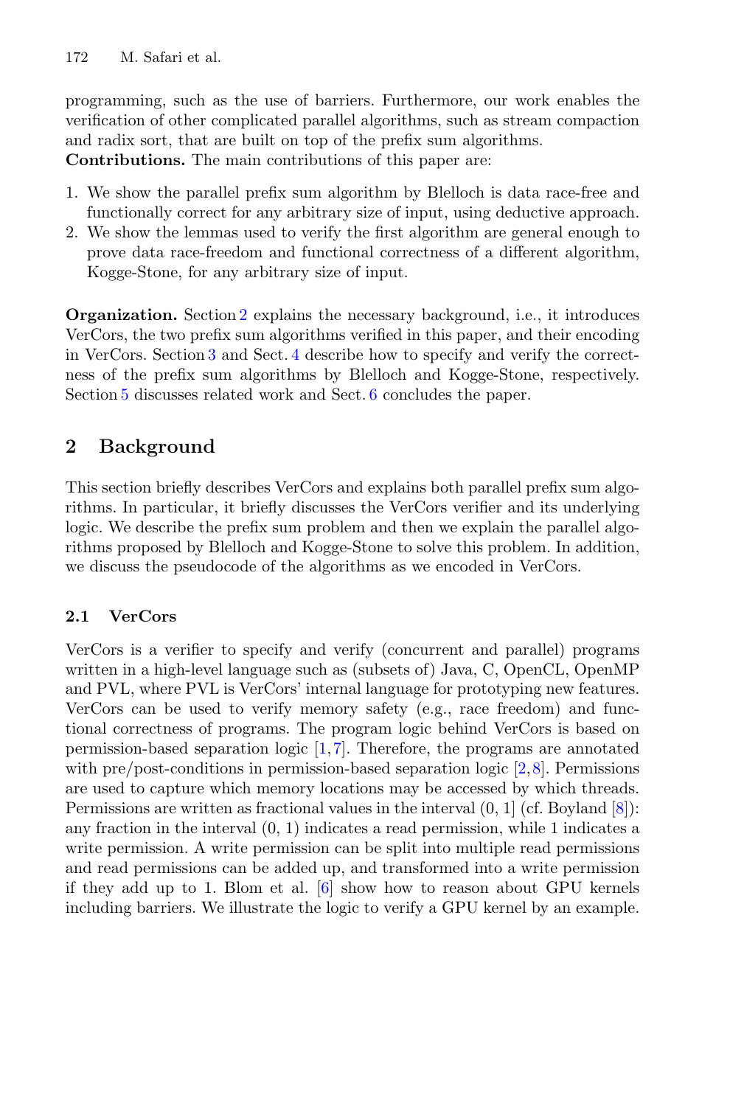programming, such as the use of barriers. Furthermore, our work enables the verification of other complicated parallel algorithms, such as stream compaction and radix sort, that are built on top of the prefix sum algorithms. **Contributions.** The main contributions of this paper are:

- 1. We show the parallel prefix sum algorithm by Blelloch is data race-free and functionally correct for any arbitrary size of input, using deductive approach.
- 2. We show the lemmas used to verify the first algorithm are general enough to prove data race-freedom and functional correctness of a different algorithm, Kogge-Stone, for any arbitrary size of input.

**Organization.** Section [2](#page-3-0) explains the necessary background, i.e., it introduces VerCors, the two prefix sum algorithms verified in this paper, and their encoding in VerCors. Section [3](#page-7-0) and Sect. [4](#page-13-0) describe how to specify and verify the correctness of the prefix sum algorithms by Blelloch and Kogge-Stone, respectively. Section [5](#page-15-0) discusses related work and Sect. [6](#page-16-0) concludes the paper.

## <span id="page-3-0"></span>**2 Background**

This section briefly describes VerCors and explains both parallel prefix sum algorithms. In particular, it briefly discusses the VerCors verifier and its underlying logic. We describe the prefix sum problem and then we explain the parallel algorithms proposed by Blelloch and Kogge-Stone to solve this problem. In addition, we discuss the pseudocode of the algorithms as we encoded in VerCors.

### **2.1 VerCors**

VerCors is a verifier to specify and verify (concurrent and parallel) programs written in a high-level language such as (subsets of) Java, C, OpenCL, OpenMP and PVL, where PVL is VerCors' internal language for prototyping new features. VerCors can be used to verify memory safety (e.g., race freedom) and functional correctness of programs. The program logic behind VerCors is based on permission-based separation logic  $[1,7]$  $[1,7]$ . Therefore, the programs are annotated with pre/post-conditions in permission-based separation logic  $[2,8]$  $[2,8]$ . Permissions are used to capture which memory locations may be accessed by which threads. Permissions are written as fractional values in the interval (0, 1] (cf. Boyland [\[8\]](#page-17-17)): any fraction in the interval  $(0, 1)$  indicates a read permission, while 1 indicates a write permission. A write permission can be split into multiple read permissions and read permissions can be added up, and transformed into a write permission if they add up to 1. Blom et al. [\[6](#page-17-18)] show how to reason about GPU kernels including barriers. We illustrate the logic to verify a GPU kernel by an example.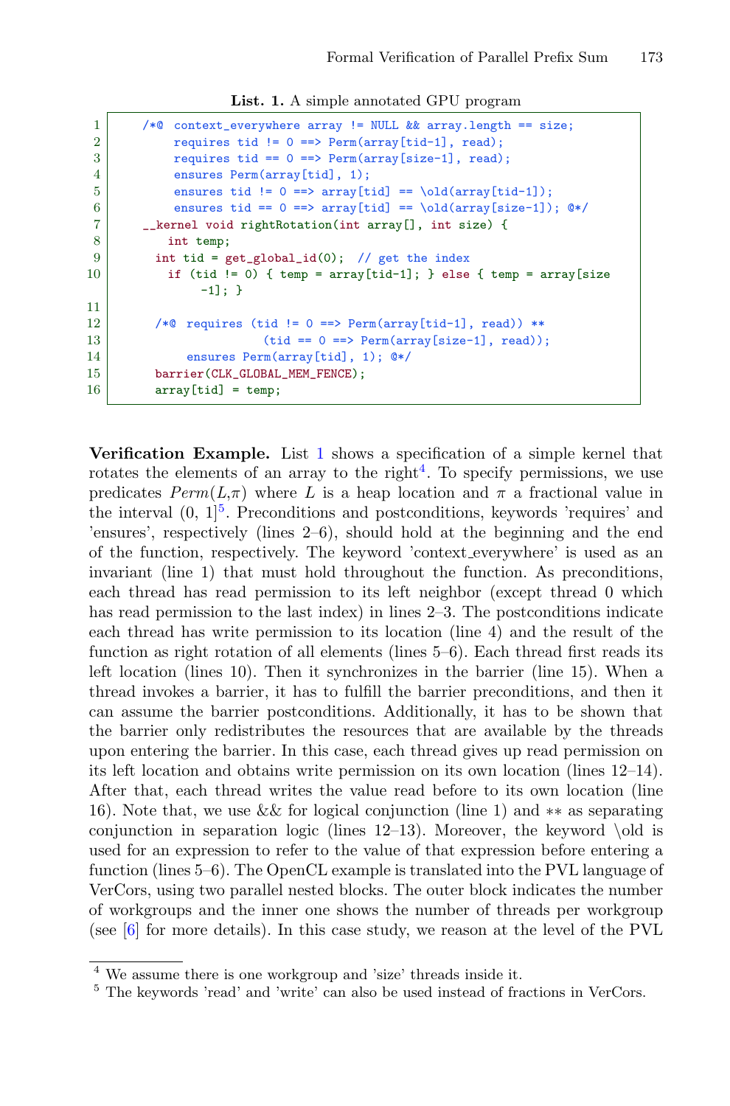**List. 1.** A simple annotated GPU program

```
1 /*@ context_everywhere array != NULL && array.length == size;<br>2 requires tid != 0 == 2 Perm(array[tid-1], read):
 2 requires tid != 0 == > Perm(array[tid-1], read);<br>3 requires tid == 0 == > Perm(array[size-1], read)
               requires tid == 0 ==> Perm(array[size-1], read);
 4 ensures Perm(array[tid], 1);
 5 ensures tid != 0 == > array[tid] == \old(array[tid-1]);<br>6 ensures tid == 0 == > array[tid] == \old(array[size-1])ensures tid == 0 ==> array[tid] == \old(array[size-1]); @*/7 <br>
18 ___kernel void rightRotation(int array[], int size) {<br>
3
              int temp;
 9 int tid = get global id(0): // get the index
10 if (tid != 0) { temp = array[tid-1]; } else { temp = array[sid-1]-1]; }
11
12 /*@ requires (tid != 0 ==> \text{Perm}(\text{array}[tid-1], \text{read}) **<br>13 (tid == 0 ==> \text{Perm}(\text{array}[size-1], \text{read}))
                               (tid == 0 == > Perm(array[size-1], read));14 ensures Perm(array[tid], 1); @*/
15 barrier(CLK_GLOBAL_MEM_FENCE);
16 array [tid] = temp;
```
**Verification Example.** List [1](#page-4-0) shows a specification of a simple kernel that rotates the elements of an array to the right<sup>[4](#page-4-1)</sup>. To specify permissions, we use predicates  $Perm(L,\pi)$  where L is a heap location and  $\pi$  a fractional value in the interval  $(0, 1]^{5}$  $(0, 1]^{5}$  $(0, 1]^{5}$ . Preconditions and postconditions, keywords 'requires' and 'ensures', respectively (lines 2–6), should hold at the beginning and the end of the function, respectively. The keyword 'context everywhere' is used as an invariant (line 1) that must hold throughout the function. As preconditions, each thread has read permission to its left neighbor (except thread 0 which has read permission to the last index) in lines 2–3. The postconditions indicate each thread has write permission to its location (line 4) and the result of the function as right rotation of all elements (lines 5–6). Each thread first reads its left location (lines 10). Then it synchronizes in the barrier (line 15). When a thread invokes a barrier, it has to fulfill the barrier preconditions, and then it can assume the barrier postconditions. Additionally, it has to be shown that the barrier only redistributes the resources that are available by the threads upon entering the barrier. In this case, each thread gives up read permission on its left location and obtains write permission on its own location (lines 12–14). After that, each thread writes the value read before to its own location (line 16). Note that, we use && for logical conjunction (line 1) and ∗∗ as separating conjunction in separation logic (lines  $12-13$ ). Moreover, the keyword  $\delta$ dd is used for an expression to refer to the value of that expression before entering a function (lines 5–6). The OpenCL example is translated into the PVL language of VerCors, using two parallel nested blocks. The outer block indicates the number of workgroups and the inner one shows the number of threads per workgroup (see  $\lceil 6 \rceil$  for more details). In this case study, we reason at the level of the PVL

<span id="page-4-1"></span><sup>4</sup> We assume there is one workgroup and 'size' threads inside it.

<span id="page-4-2"></span><sup>5</sup> The keywords 'read' and 'write' can also be used instead of fractions in VerCors.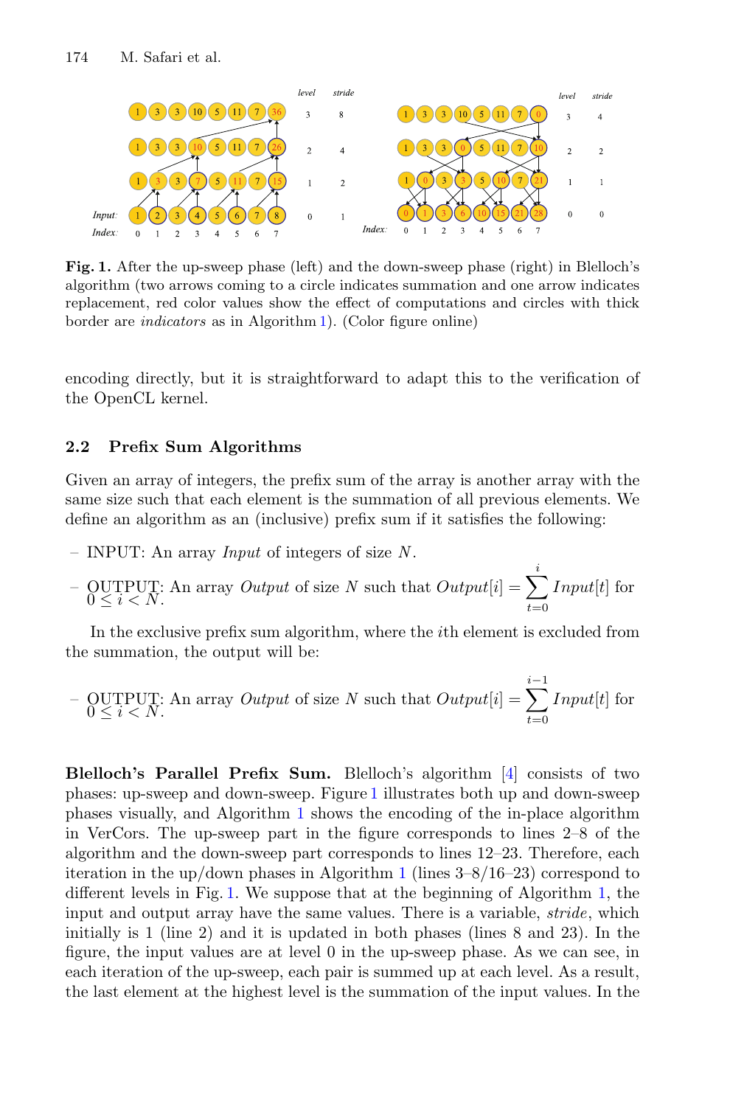

<span id="page-5-0"></span>Fig. 1. After the up-sweep phase (left) and the down-sweep phase (right) in Blelloch's algorithm (two arrows coming to a circle indicates summation and one arrow indicates replacement, red color values show the effect of computations and circles with thick border are indicators as in Algorithm [1\)](#page-6-0). (Color figure online)

encoding directly, but it is straightforward to adapt this to the verification of the OpenCL kernel.

#### **2.2 Prefix Sum Algorithms**

Given an array of integers, the prefix sum of the array is another array with the same size such that each element is the summation of all previous elements. We define an algorithm as an (inclusive) prefix sum if it satisfies the following:

- INPUT: An array *Input* of integers of size *N* .
- $-$  QUTPUT: An array *Output* of size *N* such that  $Output[i] = \sum_{i=1}^{i}$ OUTPUT: An array *Output* of size *N* such that  $Output[i] = \sum_{t=0} Input[t]$  for  $0 \le i < N$ .

In the exclusive prefix sum algorithm, where the ith element is excluded from the summation, the output will be:

- OUTPUT: An array *Output* of size *N* such that 
$$
Output[i] = \sum_{t=0}^{i-1} Input[t]
$$
 for

**Blelloch's Parallel Prefix Sum.** Blelloch's algorithm [\[4](#page-17-0)] consists of two phases: up-sweep and down-sweep. Figure [1](#page-5-0) illustrates both up and down-sweep phases visually, and Algorithm [1](#page-6-0) shows the encoding of the in-place algorithm in VerCors. The up-sweep part in the figure corresponds to lines 2–8 of the algorithm and the down-sweep part corresponds to lines 12–23. Therefore, each iteration in the up/down phases in Algorithm [1](#page-6-0) (lines  $3-8/16-23$ ) correspond to different levels in Fig. [1.](#page-5-0) We suppose that at the beginning of Algorithm [1,](#page-6-0) the input and output array have the same values. There is a variable, *stride*, which initially is 1 (line 2) and it is updated in both phases (lines 8 and 23). In the figure, the input values are at level 0 in the up-sweep phase. As we can see, in each iteration of the up-sweep, each pair is summed up at each level. As a result, the last element at the highest level is the summation of the input values. In the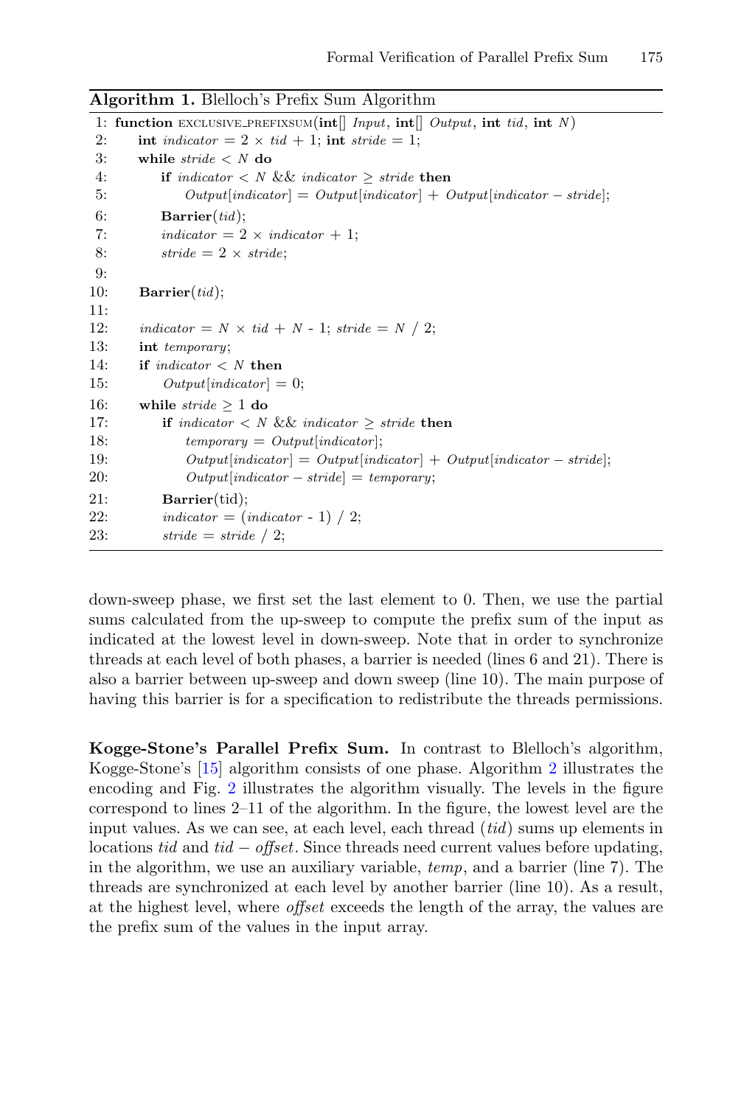```
Algorithm 1. Blelloch's Prefix Sum Algorithm
```

```
1: function exclusive prefixsum(int[] Input, int[] Output, int tid, int N)
 2: int indicator = 2 \times tid + 1; int stride = 1;<br>3: while stride < N do
             3: while stride < N do
 4: if indicator \langle N \times \mathcal{N} \times \mathcal{N} \times \mathcal{N} \times \mathcal{N} \times \mathcal{N} \times \mathcal{N} \times \mathcal{N} \times \mathcal{N} \times \mathcal{N} \times \mathcal{N} \times \mathcal{N} \times \mathcal{N} \times \mathcal{N} \times \mathcal{N} \times \mathcal{N} \times \mathcal{N} \times \mathcal{N} \times \mathcal{N} \times \mathcal{N} \times \mathcal{N} \times \mathcal{N} \times \mathcal{N} \times \mathcal{N} \times \mathcal{N} \times \mathcal{NOutput[indicator] = Output[indicator] + Output[indicator - stride];6: Barrier(tid);
 7: indicator = 2 \times indicator + 1;<br>8: stride = 2 \times stride;
                   \text{stride} = 2 \times \text{stride};
 9:
10: Barrier(tid);
11:
12: indicator = N \times tid + N - 1; stride = N / 2;<br>13: int temporary:
             int temporary:
14: if indicator < N then
15: Output[indicator] = 0;16: while \text{stride } \geq 1 do<br>17: if indicator < N
17: if indicator \langle N \& \& indicator \rangle \geq stride then<br>18: temporary = Output[indicator];
                          temporary = Output[indication];19: Output[indicator] = Output[indicator] + Output[indicator - stride];<br>
20: Output[indicator - stride] = temporary:Output[indicator - stride] = temporary;21: Barrier(tid);
22: indicator = (indictionary - 1) / 2;23: \text{stride} = \text{stride} / 2;
```
down-sweep phase, we first set the last element to 0. Then, we use the partial sums calculated from the up-sweep to compute the prefix sum of the input as indicated at the lowest level in down-sweep. Note that in order to synchronize threads at each level of both phases, a barrier is needed (lines 6 and 21). There is also a barrier between up-sweep and down sweep (line 10). The main purpose of having this barrier is for a specification to redistribute the threads permissions.

**Kogge-Stone's Parallel Prefix Sum.** In contrast to Blelloch's algorithm, Kogge-Stone's [\[15](#page-17-2)] algorithm consists of one phase. Algorithm [2](#page-7-1) illustrates the encoding and Fig. [2](#page-7-2) illustrates the algorithm visually. The levels in the figure correspond to lines 2–11 of the algorithm. In the figure, the lowest level are the input values. As we can see, at each level, each thread (*tid*) sums up elements in locations *tid* and *tid* <sup>−</sup> *offset*. Since threads need current values before updating, in the algorithm, we use an auxiliary variable, *temp*, and a barrier (line 7). The threads are synchronized at each level by another barrier (line 10). As a result, at the highest level, where *offset* exceeds the length of the array, the values are the prefix sum of the values in the input array.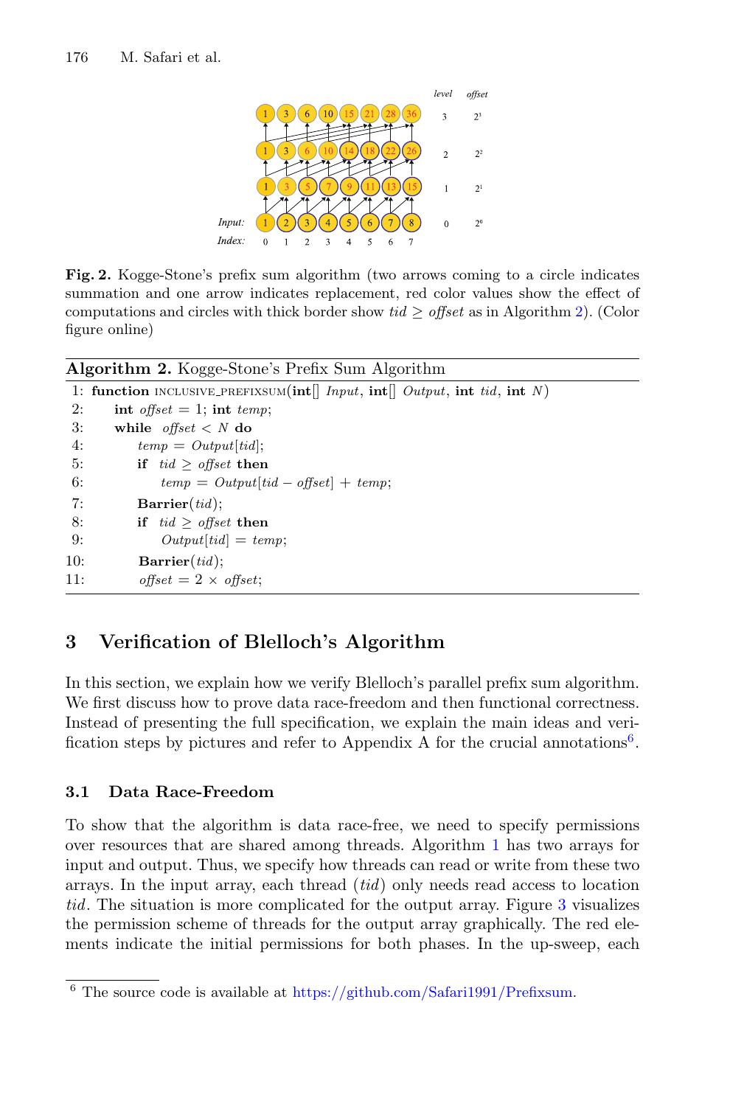<span id="page-7-2"></span>

**Fig. 2.** Kogge-Stone's prefix sum algorithm (two arrows coming to a circle indicates summation and one arrow indicates replacement, red color values show the effect of computations and circles with thick border show  $tid \geq offset$  as in Algorithm [2\)](#page-7-1). (Color figure online)

<span id="page-7-1"></span>

| Algorithm 2. Kogge-Stone's Prefix Sum Algorithm                          |
|--------------------------------------------------------------------------|
| 1: function INCLUSIVE_PREFIXSUM(int] Input, int] Output, int tid, int N) |
| 2:<br>int offset = 1; int temp;                                          |
| 3:<br>while offset $\lt N$ do                                            |
| 4:<br>$temp = Output[tid];$                                              |
| 5:<br>if $tid >$ offset then                                             |
| 6:<br>$temp = Output[tid - offset] + temp;$                              |
| 7:<br>$\mathbf{Barrier}(tid);$                                           |
| 8:<br>if $tid >$ offset then                                             |
| 9:<br>$Output[tid] = temp;$                                              |
| 10:<br>$\mathbf{Barrier}(tid);$                                          |
| 11:<br>$offset = 2 \times offset;$                                       |
|                                                                          |

## <span id="page-7-0"></span>**3 Verification of Blelloch's Algorithm**

In this section, we explain how we verify Blelloch's parallel prefix sum algorithm. We first discuss how to prove data race-freedom and then functional correctness. Instead of presenting the full specification, we explain the main ideas and veri-fication steps by pictures and refer to Appendix A for the crucial annotations<sup>[6](#page-7-3)</sup>.

### **3.1 Data Race-Freedom**

To show that the algorithm is data race-free, we need to specify permissions over resources that are shared among threads. Algorithm [1](#page-6-0) has two arrays for input and output. Thus, we specify how threads can read or write from these two arrays. In the input array, each thread (*tid*) only needs read access to location *tid*. The situation is more complicated for the output array. Figure [3](#page-8-0) visualizes the permission scheme of threads for the output array graphically. The red elements indicate the initial permissions for both phases. In the up-sweep, each

<span id="page-7-3"></span> $6$  The source code is available at [https://github.com/Safari1991/Prefixsum.](https://github.com/Safari1991/Prefixsum)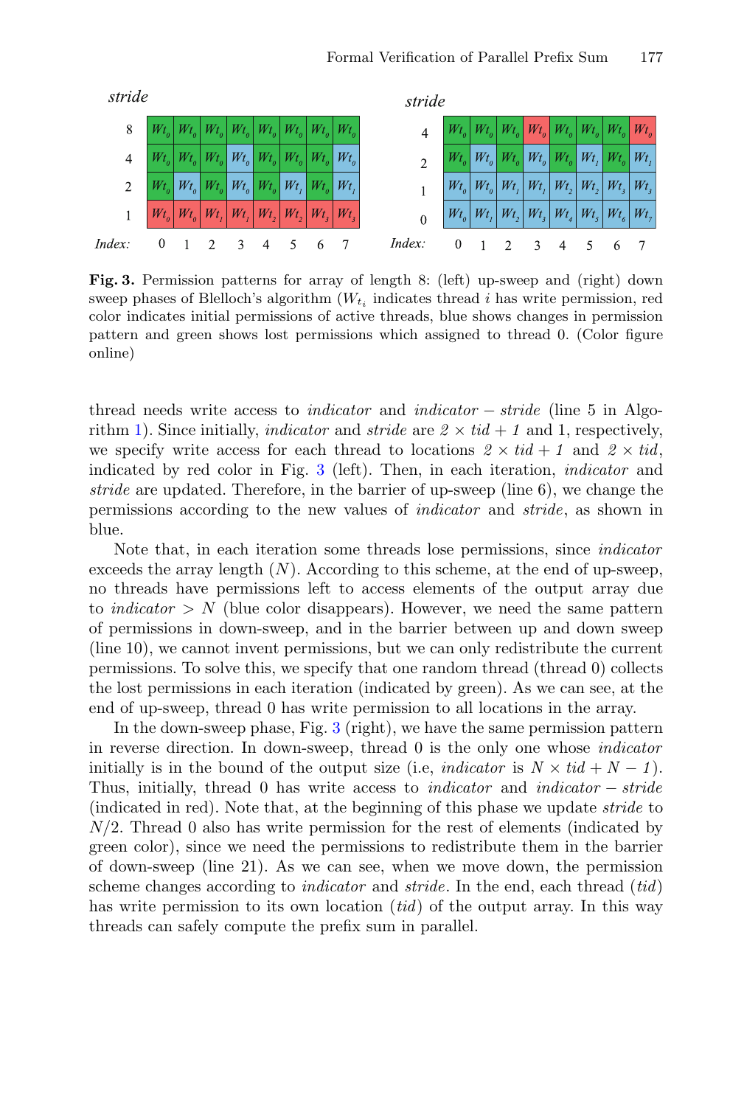| stride         |                  |                  |               |                                                                                                                       |                  |                  |            | stride         |                  |        |               |                             |          |       |                                                          |          |
|----------------|------------------|------------------|---------------|-----------------------------------------------------------------------------------------------------------------------|------------------|------------------|------------|----------------|------------------|--------|---------------|-----------------------------|----------|-------|----------------------------------------------------------|----------|
| 8              | $W_{t_{\alpha}}$ | $W_{t_{\alpha}}$ | $Wt_{\alpha}$ | $Wt_o Wt_o $                                                                                                          | $W_{t_{\alpha}}$ | $W_{t_{\alpha}}$ | $ W_t $    | $\overline{4}$ | $W_{t_{\alpha}}$ |        |               | $Wt_o$ $Wt_o$ $Wt_o$ $Wt_o$ |          |       | $Wt_{o}$ $Wt_{o}$                                        | $Wt_{0}$ |
|                | $W_{t_{n}}$      | $Wt_{\alpha}$    | $Wt_{0}$      | $Wt_o$ $Wt_o$                                                                                                         | $Wt_{\alpha}$    | $W_{t_{\alpha}}$ | $W_t$      |                | $W_{t_{\alpha}}$ | $Wt_o$ | $Wt_{\alpha}$ | $Wt_o$                      | $Wt_{0}$ | $W_t$ | $W_{t_{\alpha}}$                                         | $W_t$    |
| $\overline{2}$ | $Wt_{0}$         |                  | $Wt_o$ $Wt_o$ | $\left  W_{t_o} \right  W_{t_o}$                                                                                      | $Wt_i$           |                  | $W_t[W_t]$ |                | $Wt_{0}$         | $Wt_o$ | $ W_t $       |                             |          |       | $W_{t_1} W_{t_2} W_{t_2} W_{t_3} W_{t_3} W_{t_4}$        |          |
|                | $W_{t_{n}}$      |                  |               | $\left  W_{t_0} \right  W_{t_1} \left  W_{t_1} \right  W_{t_2} \left  W_{t_2} \right  W_{t_3} \left  W_{t_3} \right $ |                  |                  |            | 0              | $W_{t_{n}}$      | $W_t$  | $W_t$         | $W_{t_{3}}$                 | $ W_t $  |       | $W_t$ <sub>s</sub> $W_t$ <sub>6</sub> $W_t$ <sub>7</sub> |          |
| Index:         | 0                |                  |               |                                                                                                                       |                  |                  |            | Index:         | 0                |        |               |                             |          |       |                                                          |          |

<span id="page-8-0"></span>**Fig. 3.** Permission patterns for array of length 8: (left) up-sweep and (right) down sweep phases of Blelloch's algorithm (*W<sup>t</sup><sup>i</sup>* indicates thread *i* has write permission, red color indicates initial permissions of active threads, blue shows changes in permission pattern and green shows lost permissions which assigned to thread 0. (Color figure online)

thread needs write access to *indicator* and *indicator* <sup>−</sup> *stride* (line 5 in Algo-rithm [1\)](#page-6-0). Since initially, *indicator* and *stride* are  $2 \times tid + 1$  and 1, respectively. we specify write access for each thread to locations  $2 \times tid + 1$  and  $2 \times tid$ , indicated by red color in Fig. [3](#page-8-0) (left). Then, in each iteration, *indicator* and *stride* are updated. Therefore, in the barrier of up-sweep (line 6), we change the permissions according to the new values of *indicator* and *stride*, as shown in blue.

Note that, in each iteration some threads lose permissions, since *indicator* exceeds the array length  $(N)$ . According to this scheme, at the end of up-sweep, no threads have permissions left to access elements of the output array due to *indicator*  $> N$  (blue color disappears). However, we need the same pattern of permissions in down-sweep, and in the barrier between up and down sweep (line 10), we cannot invent permissions, but we can only redistribute the current permissions. To solve this, we specify that one random thread (thread 0) collects the lost permissions in each iteration (indicated by green). As we can see, at the end of up-sweep, thread 0 has write permission to all locations in the array.

In the down-sweep phase, Fig. [3](#page-8-0) (right), we have the same permission pattern in reverse direction. In down-sweep, thread 0 is the only one whose *indicator* initially is in the bound of the output size (i.e., *indicator* is  $N \times tid + N - 1$ ). Thus, initially, thread 0 has write access to *indicator* and *indicator* <sup>−</sup> *stride* (indicated in red). Note that, at the beginning of this phase we update *stride* to  $N/2$ . Thread 0 also has write permission for the rest of elements (indicated by green color), since we need the permissions to redistribute them in the barrier of down-sweep (line 21). As we can see, when we move down, the permission scheme changes according to *indicator* and *stride*. In the end, each thread (*tid*) has write permission to its own location (*tid*) of the output array. In this way threads can safely compute the prefix sum in parallel.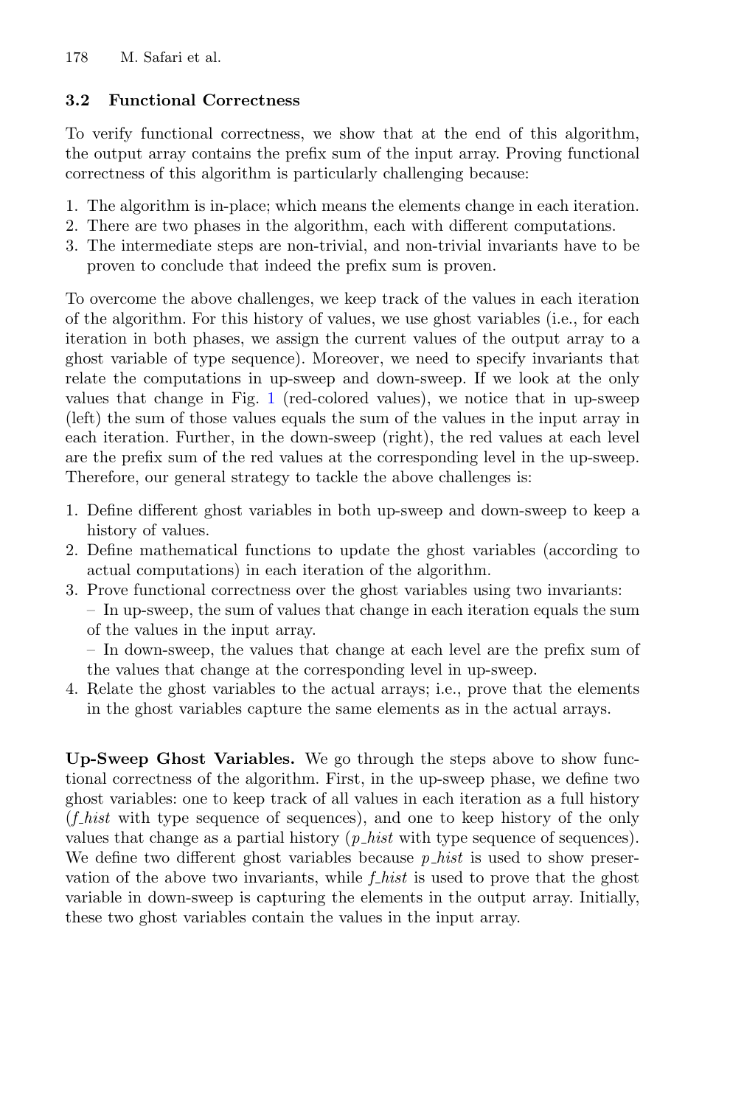#### **3.2 Functional Correctness**

To verify functional correctness, we show that at the end of this algorithm, the output array contains the prefix sum of the input array. Proving functional correctness of this algorithm is particularly challenging because:

- 1. The algorithm is in-place; which means the elements change in each iteration.
- 2. There are two phases in the algorithm, each with different computations.
- 3. The intermediate steps are non-trivial, and non-trivial invariants have to be proven to conclude that indeed the prefix sum is proven.

To overcome the above challenges, we keep track of the values in each iteration of the algorithm. For this history of values, we use ghost variables (i.e., for each iteration in both phases, we assign the current values of the output array to a ghost variable of type sequence). Moreover, we need to specify invariants that relate the computations in up-sweep and down-sweep. If we look at the only values that change in Fig. [1](#page-5-0) (red-colored values), we notice that in up-sweep (left) the sum of those values equals the sum of the values in the input array in each iteration. Further, in the down-sweep (right), the red values at each level are the prefix sum of the red values at the corresponding level in the up-sweep. Therefore, our general strategy to tackle the above challenges is:

- 1. Define different ghost variables in both up-sweep and down-sweep to keep a history of values.
- 2. Define mathematical functions to update the ghost variables (according to actual computations) in each iteration of the algorithm.
- 3. Prove functional correctness over the ghost variables using two invariants:

– In up-sweep, the sum of values that change in each iteration equals the sum of the values in the input array.

– In down-sweep, the values that change at each level are the prefix sum of the values that change at the corresponding level in up-sweep.

4. Relate the ghost variables to the actual arrays; i.e., prove that the elements in the ghost variables capture the same elements as in the actual arrays.

**Up-Sweep Ghost Variables.** We go through the steps above to show functional correctness of the algorithm. First, in the up-sweep phase, we define two ghost variables: one to keep track of all values in each iteration as a full history (*f hist* with type sequence of sequences), and one to keep history of the only values that change as a partial history (*p hist* with type sequence of sequences). We define two different ghost variables because *p hist* is used to show preservation of the above two invariants, while *f hist* is used to prove that the ghost variable in down-sweep is capturing the elements in the output array. Initially, these two ghost variables contain the values in the input array.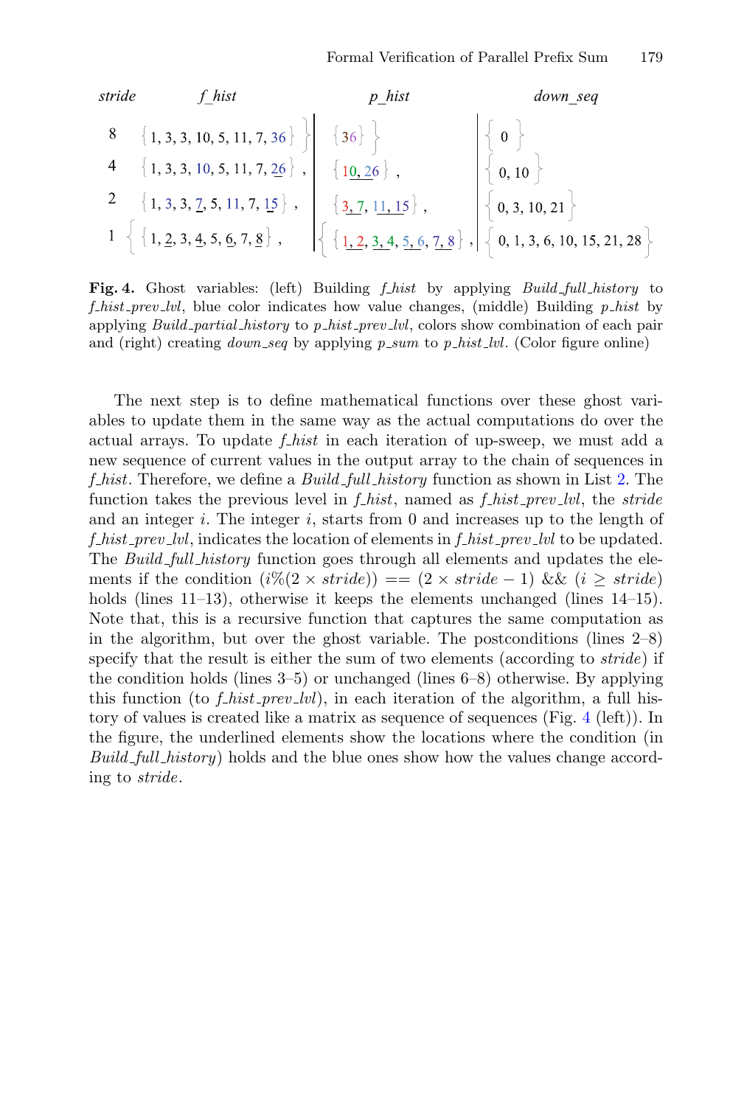| stride | f hist                                       | p hist               | down seq                                                               |
|--------|----------------------------------------------|----------------------|------------------------------------------------------------------------|
|        | 8 $\{1, 3, 3, 10, 5, 11, 7, 36\}$ $\{36\}$   |                      | $\Omega$                                                               |
|        | $4\left\{1, 3, 3, 10, 5, 11, 7, 26\right\},$ | $\{10, 26\}$ .       | 0, 10                                                                  |
|        | $2\{1, 3, 3, 7, 5, 11, 7, 15\},$             | $\{3, 7, 11, 15\}$ , | $\left\langle \begin{array}{l} 0, 3, 10, 21 \end{array} \right\rangle$ |
|        | $1 \{1, 2, 3, 4, 5, 6, 7, 8\},$              |                      | $\{1, 2, 3, 4, 5, 6, 7, 8\}$ , $\{0, 1, 3, 6, 10, 15, 21, 28\}$        |

<span id="page-10-0"></span>Fig. 4. Ghost variables: (left) Building f\_hist by applying Build\_full\_history to  $f_h$ hist prev lvl, blue color indicates how value changes, (middle) Building p hist by applying *Build partial history* to  $p\_hist\_prev\_lvl$ , colors show combination of each pair and (right) creating *down seq* by applying  $p\_sum$  to  $p\_hist\_lvl$ . (Color figure online)

The next step is to define mathematical functions over these ghost variables to update them in the same way as the actual computations do over the actual arrays. To update *f hist* in each iteration of up-sweep, we must add a new sequence of current values in the output array to the chain of sequences in *f hist*. Therefore, we define a *Build full history* function as shown in List [2.](#page-11-0) The function takes the previous level in *f hist*, named as *f hist prev lvl*, the *stride* and an integer i. The integer i, starts from 0 and increases up to the length of *f hist prev lvl*, indicates the location of elements in *f hist prev lvl* to be updated. The *Build full history* function goes through all elements and updates the elements if the condition  $(i\%(2 \times stride)) == (2 \times stride - 1) \&(i \geq stride)$ holds (lines 11–13), otherwise it keeps the elements unchanged (lines 14–15). Note that, this is a recursive function that captures the same computation as in the algorithm, but over the ghost variable. The postconditions (lines 2–8) specify that the result is either the sum of two elements (according to *stride*) if the condition holds (lines  $3-5$ ) or unchanged (lines  $6-8$ ) otherwise. By applying this function (to *f hist prev lvl*), in each iteration of the algorithm, a full history of values is created like a matrix as sequence of sequences (Fig. [4](#page-10-0) (left)). In the figure, the underlined elements show the locations where the condition (in *Build full history*) holds and the blue ones show how the values change according to *stride*.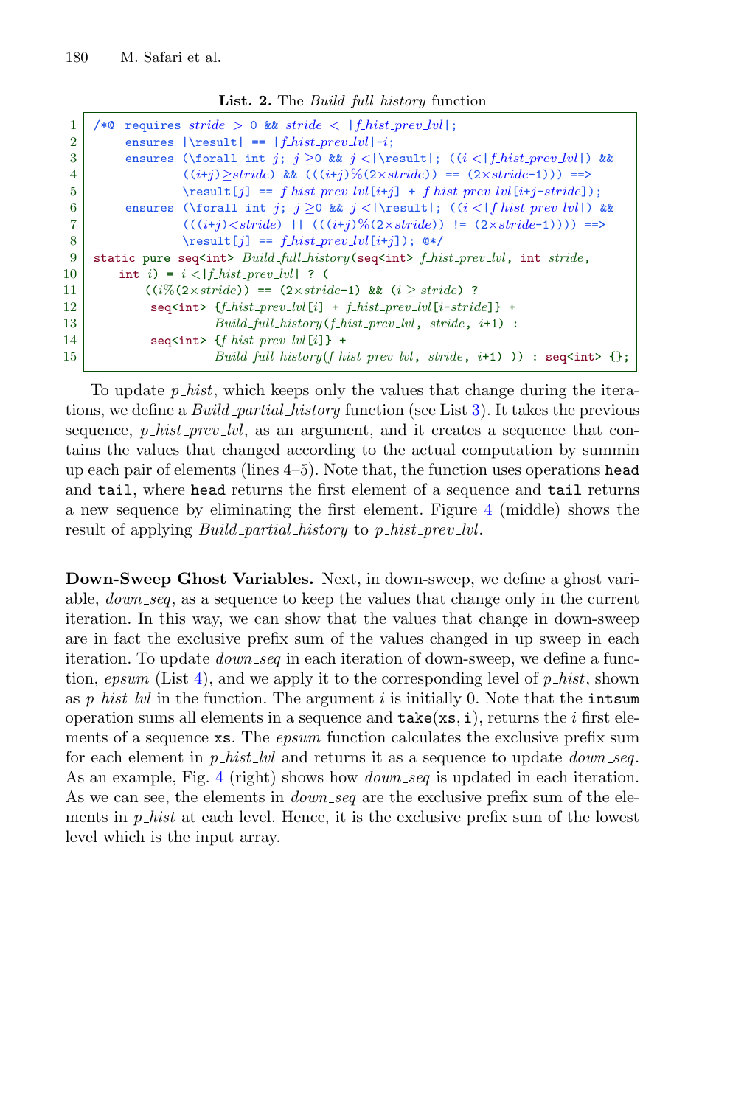|  |  |  |  |  |  | <b>List. 2.</b> The <i>Build_full_history</i> function |
|--|--|--|--|--|--|--------------------------------------------------------|
|--|--|--|--|--|--|--------------------------------------------------------|

```
\frac{1}{2} /*© requires stride > 0 && stride < |f_h|; ensures |\text{result}| = |f_h|;
 2 ensures |\text{result}| = |f\_hist\_prev\_lvl| -i;<br>3 ensures (\forall int i; i >0 && i < |\re
 3<br>
ensures (\forall int j; j ≥0 && j < |\result|; ((i < |f_hist_prev_lvl|) &&<br>
(((i+j) > stride) && (((i+j) %(2×stride)) == (2×stride-1))) ==>
 4 ((i+j)≥stride) && (((i+j)%(2×stride)) == (2×stride-1))) ==>
                         5 \result[j] == f hist prev lvl[i+j] + f hist prev lvl[i+j-stride]);
 6 ensures (\forall int j; j ≥0 && j <|\result|; ((i <|f hist prev lvl|) &&
 7 ((((i+j) <stride) || (((i+j)%(2×stride)) != (2×stride-1)))) ==><br>8 \result[j] == f_hist_prev_lvl[i+j]); \circ*/
                         \text{S}   \text{S}   \text{S}   \text{S}   \text{S}   \text{S}   \text{S}   \text{S}   \text{S}   \text{S}   \text{S}   \text{S}   \text{S}   \text{S}   \text{S}   \text{S}   \text{S}   \text{S}   \text{S}   \text{S}   \text{S}   \text{S}   9 static pure seq<int> Build full history(seq<int> f hist prev lvl, int stride,
10 int i) = i < |f_{\textit{thist\_prev\_lvl}}| ? (
11 ((i\% (2 \times stride)) == (2 \times stride - 1) \& (i \ge stride) ?<br>
12 = (2 \times stride - 1) \& (i \ge stride) ?seq<int> {f_+}hist\_prev\_lvl[i] + f_+hist\_prev\_lvl[i-stride] +13 Build full history (f hist prev lvl, stride, i+1) :
14 seq<int> {f\_hist\_prev\_lvl [i]} +
15 Build full history(f hist prev lvl, stride, i+1) )) : seq<int> {};
```
To update *p hist*, which keeps only the values that change during the iterations, we define a *Build partial history* function (see List [3\)](#page-12-0). It takes the previous sequence, *p hist prev lvl*, as an argument, and it creates a sequence that contains the values that changed according to the actual computation by summin up each pair of elements (lines 4–5). Note that, the function uses operations head and tail, where head returns the first element of a sequence and tail returns a new sequence by eliminating the first element. Figure [4](#page-10-0) (middle) shows the result of applying *Build partial history* to *p hist pre*v *lvl*.

**Down-Sweep Ghost Variables.** Next, in down-sweep, we define a ghost variable, *down seq*, as a sequence to keep the values that change only in the current iteration. In this way, we can show that the values that change in down-sweep are in fact the exclusive prefix sum of the values changed in up sweep in each iteration. To update *down seq* in each iteration of down-sweep, we define a function, *epsum* (List [4\)](#page-12-1), and we apply it to the corresponding level of *p hist*, shown as *p hist lvl* in the function. The argument i is initially 0. Note that the intsum operation sums all elements in a sequence and  $\texttt{take}(\texttt{xs}, \texttt{i})$ , returns the *i* first elements of a sequence xs. The *epsum* function calculates the exclusive prefix sum for each element in *p hist lvl* and returns it as a sequence to update *down seq*. As an example, Fig. [4](#page-10-0) (right) shows how *down seq* is updated in each iteration. As we can see, the elements in *down seq* are the exclusive prefix sum of the elements in *p*-*hist* at each level. Hence, it is the exclusive prefix sum of the lowest level which is the input array.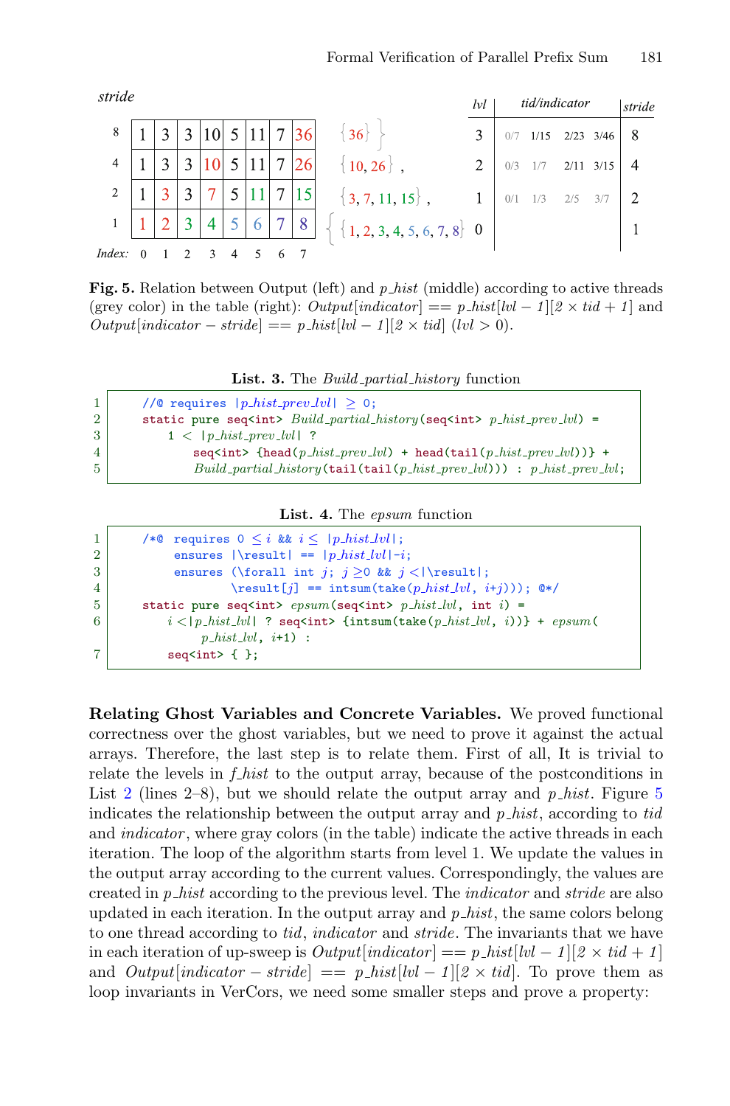| su uc          |  |   |                |   |                 |                 |    |                                | lvl |     | tid/indicator        |               |     | stride |
|----------------|--|---|----------------|---|-----------------|-----------------|----|--------------------------------|-----|-----|----------------------|---------------|-----|--------|
| 8              |  | 3 |                |   | $ 10 $ 5 $ 11 $ | $7\phantom{.0}$ | 36 | 36                             |     | 0/7 | $1/15$ $2/23$ $3/46$ |               |     |        |
| 4              |  |   |                |   |                 | $\mathcal{I}$   |    | $\{10, 26\}$                   |     | 0/3 | 1/7                  | $2/11$ $3/15$ |     |        |
| $\overline{2}$ |  |   |                |   |                 |                 |    | $\{3, 7, 11, 15\}$ ,           |     | 0/1 | 1/3                  | 2/5           | 3/7 |        |
|                |  |   |                |   | $\circ$         |                 | 8  | $\{1, 2, 3, 4, 5, 6, 7, 8\}$ 0 |     |     |                      |               |     |        |
| Index:         |  | 2 | $\overline{3}$ | 4 |                 | -6              |    |                                |     |     |                      |               |     |        |

 $_{\alpha t}$ 

**Fig. 5.** Relation between Output (left) and p hist (middle) according to active threads (grey color) in the table (right):  $Output[indicator] == p\_hist[lvl - 1][2 \times tid + 1]$  and  $Output[indicator - stride] == p\_hist[lvl - 1][2 \times tid] (lvl > 0).$ 

<span id="page-12-2"></span>List. 3. The Build<sub>-partial-history function</sub>

```
1 \mid //@ requires |p\_hist\_prev\_lvl| \geq 0;<br>3. static pure secsint> Build partial
2 static pure seq<int> Build partial history(seq<int> p hist prev lvl) = 1 < |p_1| history lvl) ?
              1 < |p_{\textit{h}}| st_prev_lvl | ?
4 \mid seq<int> {head(p_hist_prev_lvl) + head(tail(p_hist_prev_lvl))} +
5 \mid Build_partial_history(tail(tail(p_hist_prev_lvl))) : p_hist_prev_lvl;
```

|  |  |  |  | List. 4. The epsum function |
|--|--|--|--|-----------------------------|
|--|--|--|--|-----------------------------|

```
\begin{array}{c|c|c|c|c} \n 1 & \rightarrow & \text{requires } 0 \leq i \ \& i \leq |p\_hist\_lvl|; \n 2 & \quad & \text{ensure} = |p\_hist\_lvl|; \n \end{array}2 ensures |\text{result}| == |p\_hist\_lvl| -i;<br>3 ensures \text{Normal int } i : j \geq 0 \text{ k}k \neq j3<br>ensures (\forall int j; j ≥0 && j <|\result|;<br>4<br>esult[j] == intsum(take(p_hist_lvl, i
                                \text{result}[j] == \text{intsum}(\text{take}(p\_hist\_lvl, i+j))); @*/5 | static pure seq<int> epsum(seq<int> p\_hist\_lvl, int i) =
6 i < |p\_hist\_lvl| ? seq<int> {intsum(take(p_hist_lvl, i))} + epsum(
                         p\_hist\_lvl, i+1):
7 seq<int> { };
```
**Relating Ghost Variables and Concrete Variables.** We proved functional correctness over the ghost variables, but we need to prove it against the actual arrays. Therefore, the last step is to relate them. First of all, It is trivial to relate the levels in *f hist* to the output array, because of the postconditions in List [2](#page-11-0) (lines 2–8), but we should relate the output array and *p hist*. Figure [5](#page-12-2) indicates the relationship between the output array and *p hist*, according to *tid* and *indicator* , where gray colors (in the table) indicate the active threads in each iteration. The loop of the algorithm starts from level 1. We update the values in the output array according to the current values. Correspondingly, the values are created in *p hist* according to the previous level. The *indicator* and *stride* are also updated in each iteration. In the output array and *p hist*, the same colors belong to one thread according to *tid*, *indicator* and *stride*. The invariants that we have in each iteration of up-sweep is  $Output[indicateor] == p\_hist[bl - 1][2 \times tid + 1]$ and *Output*[*indicator* – *stride*] ==  $p\_hist[lul - 1][2 \times tid]$ . To prove them as loop invariants in VerCors, we need some smaller steps and prove a property: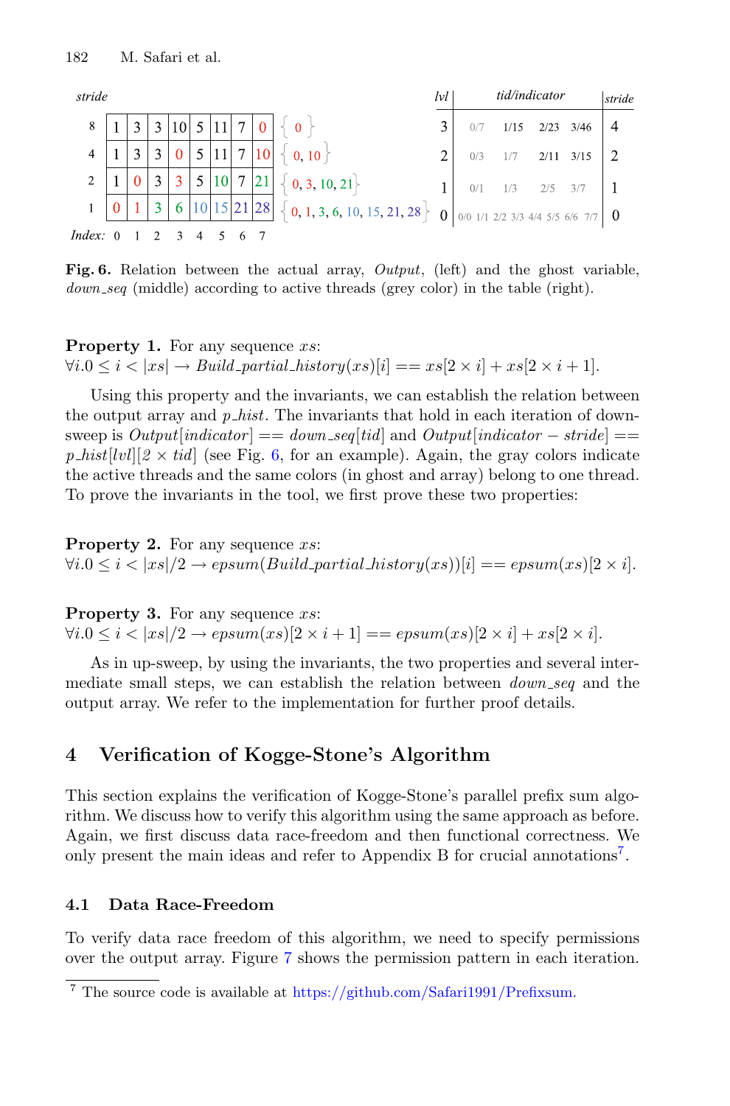| stride         |   |   |    |                        |             |                 | lvl                                      |                |     |      | tid/indicator |                                                 | stride |
|----------------|---|---|----|------------------------|-------------|-----------------|------------------------------------------|----------------|-----|------|---------------|-------------------------------------------------|--------|
| 8              | 3 | 3 | 10 | $\approx$ 5 $^{\circ}$ | 11          | $7\phantom{.0}$ | $\rightarrow$ 0 $\succ$                  |                | 0/7 | 1/15 | 2/23          | 3/46                                            |        |
| $\overline{4}$ | 3 |   |    |                        |             | 1.71            | $\mid$ 0, 10 $\rangle$                   |                | 0/3 |      | 2/11          | 3/15                                            |        |
| $\overline{2}$ |   | 3 | 3  | 5                      | 10          | $\overline{ }$  | $\{0, 3, 10, 21\}$                       |                | 0/1 | 1/3  | 2/5           | 3/7                                             |        |
|                |   |   | 6  |                        | 10 15 21 28 |                 | $\vert 0, 1, 3, 6, 10, 15, 21, 28 \vert$ | $\overline{0}$ |     |      |               | $1$ 0/0 1/1 2/2 3/3 4/4 5/5 6/6 7/7 $\boxed{0}$ |        |
| Index:         |   |   |    |                        |             |                 |                                          |                |     |      |               |                                                 |        |

<span id="page-13-1"></span>**Fig. 6.** Relation between the actual array, Output, (left) and the ghost variable, down\_seq (middle) according to active threads (grey color) in the table (right).

**Property 1.** For any sequence xs:  $\forall i.0 \leq i < |xs| \rightarrow Build\_partial\_history(xs)[i] == xs[2 \times i] + xs[2 \times i+1].$ 

Using this property and the invariants, we can establish the relation between the output array and *p hist*. The invariants that hold in each iteration of down $s$ weep is  $Output[indicator] == down-seq[tid]$  and  $Output[indicator - stride] ==$  $p\_hist[|v|][2 \times tid]$  (see Fig. [6,](#page-13-1) for an example). Again, the gray colors indicate the active threads and the same colors (in ghost and array) belong to one thread. To prove the invariants in the tool, we first prove these two properties:

**Property 2.** For any sequence xs:  $\forall i.0 \leq i < |xs|/2 \rightarrow epsum(Build\_partial\_history(xs))[i] == epsum(xs)[2 \times i].$ 

**Property 3.** For any sequence xs:

 $\forall i.0 \leq i < |xs|/2 \rightarrow epsum(xs)[2 \times i + 1] == epsum(xs)[2 \times i] + xs[2 \times i].$ 

As in up-sweep, by using the invariants, the two properties and several intermediate small steps, we can establish the relation between *down seq* and the output array. We refer to the implementation for further proof details.

## <span id="page-13-0"></span>**4 Verification of Kogge-Stone's Algorithm**

This section explains the verification of Kogge-Stone's parallel prefix sum algorithm. We discuss how to verify this algorithm using the same approach as before. Again, we first discuss data race-freedom and then functional correctness. We only present the main ideas and refer to Appendix B for crucial annotations'.

#### **4.1 Data Race-Freedom**

To verify data race freedom of this algorithm, we need to specify permissions over the output array. Figure [7](#page-14-0) shows the permission pattern in each iteration.

<span id="page-13-2"></span><sup>7</sup> The source code is available at [https://github.com/Safari1991/Prefixsum.](https://github.com/Safari1991/Prefixsum)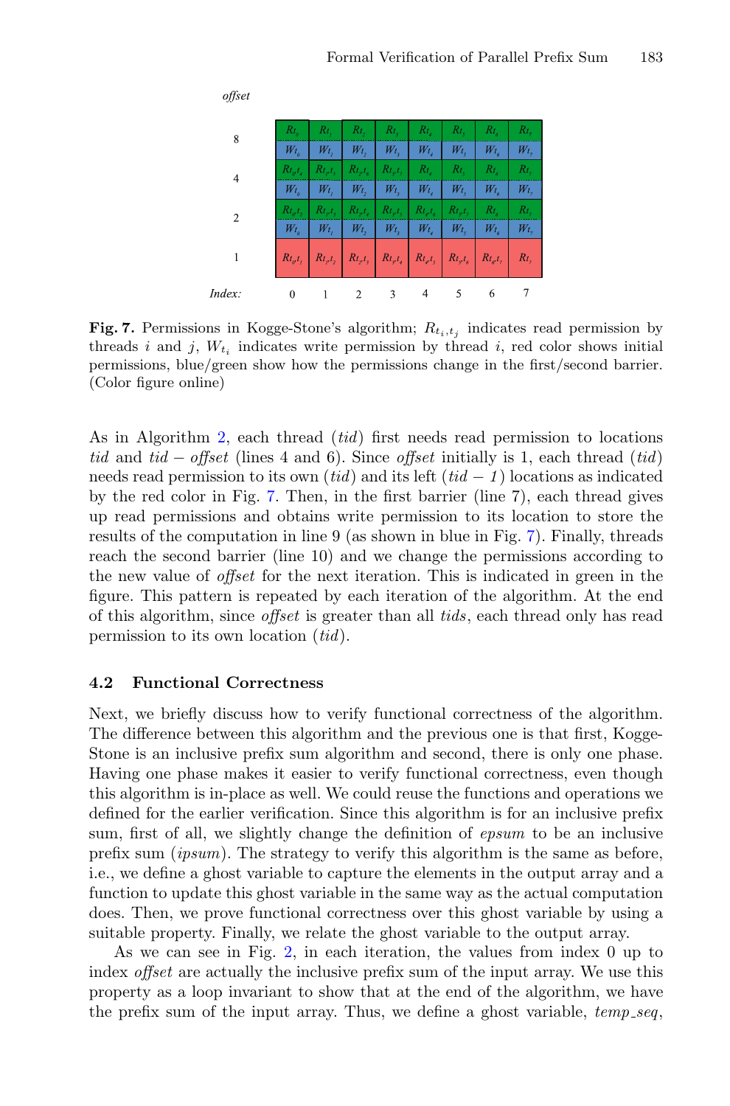<span id="page-14-0"></span>

**Fig. 7.** Permissions in Kogge-Stone's algorithm; *R<sup>t</sup>i,t<sup>j</sup>* indicates read permission by threads *i* and *j*,  $W_{t_i}$  indicates write permission by thread *i*, red color shows initial permissions, blue/green show how the permissions change in the first/second barrier. (Color figure online)

As in Algorithm [2,](#page-7-1) each thread (*tid*) first needs read permission to locations *tid* and *tid* <sup>−</sup> *offset* (lines 4 and 6). Since *offset* initially is 1, each thread (*tid*) needs read permission to its own (*tid*) and its left (*tid* <sup>−</sup> *<sup>1</sup>* ) locations as indicated by the red color in Fig. [7.](#page-14-0) Then, in the first barrier (line 7), each thread gives up read permissions and obtains write permission to its location to store the results of the computation in line 9 (as shown in blue in Fig. [7\)](#page-14-0). Finally, threads reach the second barrier (line 10) and we change the permissions according to the new value of *offset* for the next iteration. This is indicated in green in the figure. This pattern is repeated by each iteration of the algorithm. At the end of this algorithm, since *offset* is greater than all *tids*, each thread only has read permission to its own location (*tid*).

#### **4.2 Functional Correctness**

Next, we briefly discuss how to verify functional correctness of the algorithm. The difference between this algorithm and the previous one is that first, Kogge-Stone is an inclusive prefix sum algorithm and second, there is only one phase. Having one phase makes it easier to verify functional correctness, even though this algorithm is in-place as well. We could reuse the functions and operations we defined for the earlier verification. Since this algorithm is for an inclusive prefix sum, first of all, we slightly change the definition of *epsum* to be an inclusive prefix sum (*ipsum*). The strategy to verify this algorithm is the same as before, i.e., we define a ghost variable to capture the elements in the output array and a function to update this ghost variable in the same way as the actual computation does. Then, we prove functional correctness over this ghost variable by using a suitable property. Finally, we relate the ghost variable to the output array.

As we can see in Fig. [2,](#page-7-2) in each iteration, the values from index 0 up to index *offset* are actually the inclusive prefix sum of the input array. We use this property as a loop invariant to show that at the end of the algorithm, we have the prefix sum of the input array. Thus, we define a ghost variable, *temp seq*,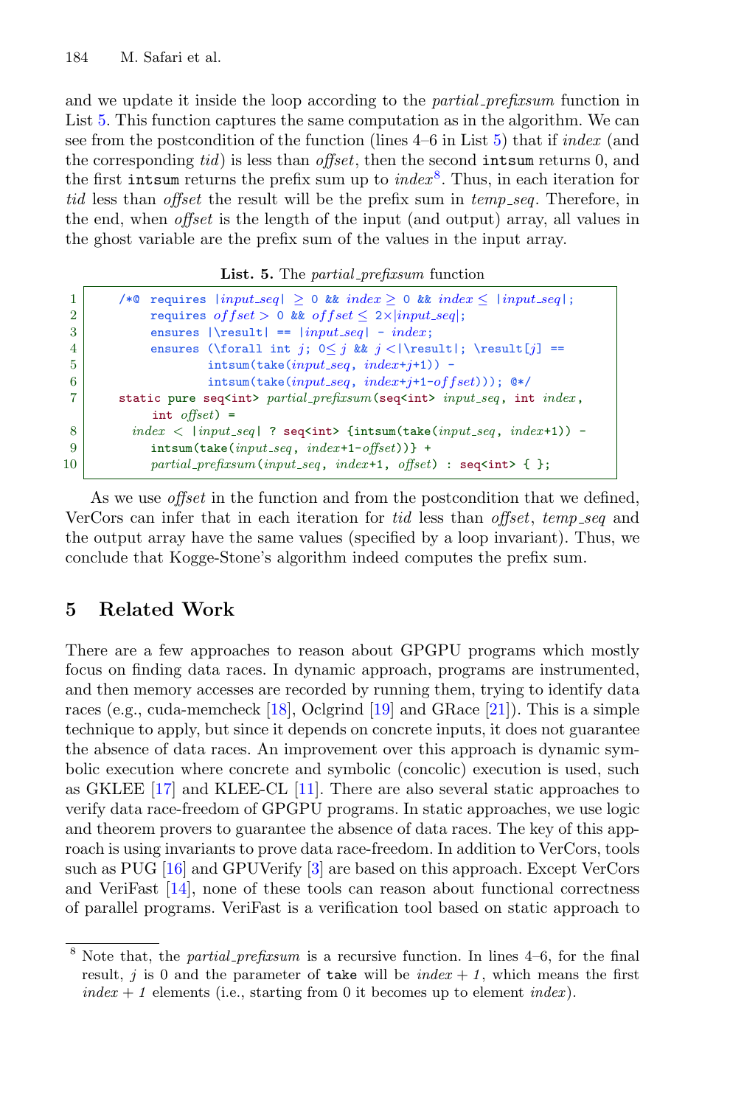and we update it inside the loop according to the *partial prefixsum* function in List [5.](#page-15-1) This function captures the same computation as in the algorithm. We can see from the postcondition of the function (lines 4–6 in List [5\)](#page-15-1) that if *index* (and the corresponding *tid*) is less than *offset*, then the second intsum returns 0, and the first **intsum** returns the prefix sum up to *index*<sup>[8](#page-15-2)</sup>. Thus, in each iteration for *tid* less than *offset* the result will be the prefix sum in *temp seq*. Therefore, in the end, when *offset* is the length of the input (and output) array, all values in the ghost variable are the prefix sum of the values in the input array.

|  |  |  | List. 5. The partial prefixsum function |  |
|--|--|--|-----------------------------------------|--|
|--|--|--|-----------------------------------------|--|

<span id="page-15-1"></span>

|    | /*0 requires $ input\_seq  > 0$ & index > 0 & index < $ input\_seq $ ;             |
|----|------------------------------------------------------------------------------------|
| 2  | requires of $fset > 0$ & $g$ of $fset < 2 \times   input\_seq $ ;                  |
| 3  | ensures $ \text{= }  input\_seq  - index;$                                         |
| 4  | ensures (\forall int j; $0 \le j$ & $j \le j$ \result ; \result[j] ==              |
| 5  | $intsum(take(input\_seq, index+j+1))$ -                                            |
| 6  | $intsum(take(input\_seq, index+j+1-offset)))$ ; $@*/$                              |
|    | static pure seq <int> partial-prefixsum(seq<int> input-seq, int index,</int></int> |
|    | $\int$ offset) =                                                                   |
| 8  | $index <  input\_seq $ ? seq <int> {intsum(take(input_seq, index+1)) -</int>       |
| 9  | $intsum(take(input\_seq, index+1-offset))$ +                                       |
| 10 | $partial\_prefixsum(input\_seq, index+1, offset) : seq\in  \{ \}$ ;                |
|    |                                                                                    |

As we use *offset* in the function and from the postcondition that we defined, VerCors can infer that in each iteration for *tid* less than *offset*, *temp seq* and the output array have the same values (specified by a loop invariant). Thus, we conclude that Kogge-Stone's algorithm indeed computes the prefix sum.

## <span id="page-15-0"></span>**5 Related Work**

There are a few approaches to reason about GPGPU programs which mostly focus on finding data races. In dynamic approach, programs are instrumented, and then memory accesses are recorded by running them, trying to identify data races (e.g., cuda-memcheck [\[18\]](#page-17-19), Oclgrind [\[19\]](#page-17-9) and GRace [\[21\]](#page-17-10)). This is a simple technique to apply, but since it depends on concrete inputs, it does not guarantee the absence of data races. An improvement over this approach is dynamic symbolic execution where concrete and symbolic (concolic) execution is used, such as GKLEE [\[17](#page-17-8)] and KLEE-CL [\[11\]](#page-17-7). There are also several static approaches to verify data race-freedom of GPGPU programs. In static approaches, we use logic and theorem provers to guarantee the absence of data races. The key of this approach is using invariants to prove data race-freedom. In addition to VerCors, tools such as PUG [\[16\]](#page-17-14) and GPUVerify [\[3](#page-17-11)] are based on this approach. Except VerCors and VeriFast [\[14](#page-17-13)], none of these tools can reason about functional correctness of parallel programs. VeriFast is a verification tool based on static approach to

<span id="page-15-2"></span>Note that, the *partial prefixsum* is a recursive function. In lines 4–6, for the final result,  $j$  is 0 and the parameter of take will be *index*  $+1$ , which means the first  $index + 1$  elements (i.e., starting from 0 it becomes up to element  $index$ ).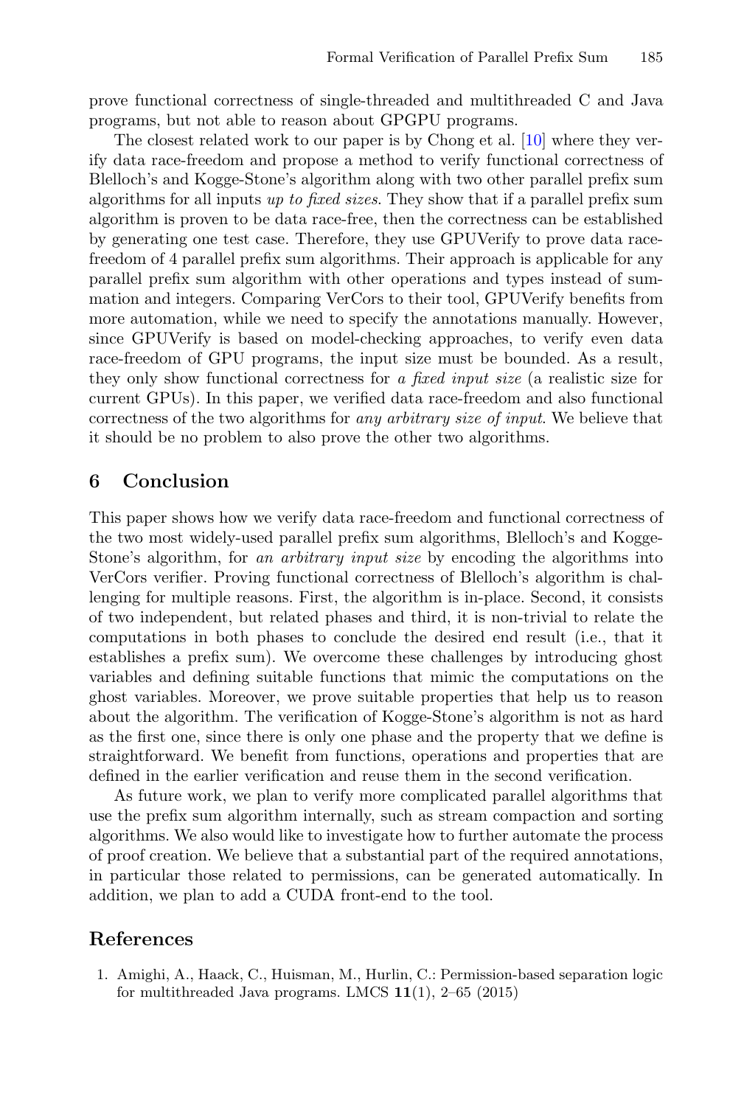prove functional correctness of single-threaded and multithreaded C and Java programs, but not able to reason about GPGPU programs.

The closest related work to our paper is by Chong et al. [\[10](#page-17-12)] where they verify data race-freedom and propose a method to verify functional correctness of Blelloch's and Kogge-Stone's algorithm along with two other parallel prefix sum algorithms for all inputs *up to fixed sizes*. They show that if a parallel prefix sum algorithm is proven to be data race-free, then the correctness can be established by generating one test case. Therefore, they use GPUVerify to prove data racefreedom of 4 parallel prefix sum algorithms. Their approach is applicable for any parallel prefix sum algorithm with other operations and types instead of summation and integers. Comparing VerCors to their tool, GPUVerify benefits from more automation, while we need to specify the annotations manually. However, since GPUVerify is based on model-checking approaches, to verify even data race-freedom of GPU programs, the input size must be bounded. As a result, they only show functional correctness for *a fixed input size* (a realistic size for current GPUs). In this paper, we verified data race-freedom and also functional correctness of the two algorithms for *any arbitrary size of input*. We believe that it should be no problem to also prove the other two algorithms.

#### <span id="page-16-0"></span>**6 Conclusion**

This paper shows how we verify data race-freedom and functional correctness of the two most widely-used parallel prefix sum algorithms, Blelloch's and Kogge-Stone's algorithm, for *an arbitrary input size* by encoding the algorithms into VerCors verifier. Proving functional correctness of Blelloch's algorithm is challenging for multiple reasons. First, the algorithm is in-place. Second, it consists of two independent, but related phases and third, it is non-trivial to relate the computations in both phases to conclude the desired end result (i.e., that it establishes a prefix sum). We overcome these challenges by introducing ghost variables and defining suitable functions that mimic the computations on the ghost variables. Moreover, we prove suitable properties that help us to reason about the algorithm. The verification of Kogge-Stone's algorithm is not as hard as the first one, since there is only one phase and the property that we define is straightforward. We benefit from functions, operations and properties that are defined in the earlier verification and reuse them in the second verification.

As future work, we plan to verify more complicated parallel algorithms that use the prefix sum algorithm internally, such as stream compaction and sorting algorithms. We also would like to investigate how to further automate the process of proof creation. We believe that a substantial part of the required annotations, in particular those related to permissions, can be generated automatically. In addition, we plan to add a CUDA front-end to the tool.

### **References**

<span id="page-16-1"></span>1. Amighi, A., Haack, C., Huisman, M., Hurlin, C.: Permission-based separation logic for multithreaded Java programs. LMCS **11**(1), 2–65 (2015)